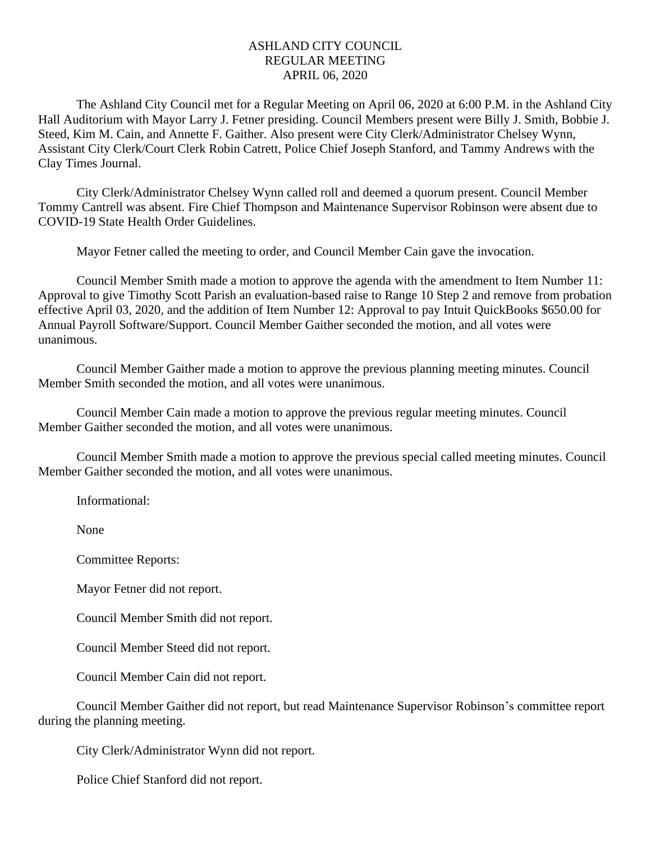## ASHLAND CITY COUNCIL REGULAR MEETING APRIL 06, 2020

The Ashland City Council met for a Regular Meeting on April 06, 2020 at 6:00 P.M. in the Ashland City Hall Auditorium with Mayor Larry J. Fetner presiding. Council Members present were Billy J. Smith, Bobbie J. Steed, Kim M. Cain, and Annette F. Gaither. Also present were City Clerk/Administrator Chelsey Wynn, Assistant City Clerk/Court Clerk Robin Catrett, Police Chief Joseph Stanford, and Tammy Andrews with the Clay Times Journal.

City Clerk/Administrator Chelsey Wynn called roll and deemed a quorum present. Council Member Tommy Cantrell was absent. Fire Chief Thompson and Maintenance Supervisor Robinson were absent due to COVID-19 State Health Order Guidelines.

Mayor Fetner called the meeting to order, and Council Member Cain gave the invocation.

Council Member Smith made a motion to approve the agenda with the amendment to Item Number 11: Approval to give Timothy Scott Parish an evaluation-based raise to Range 10 Step 2 and remove from probation effective April 03, 2020, and the addition of Item Number 12: Approval to pay Intuit QuickBooks \$650.00 for Annual Payroll Software/Support. Council Member Gaither seconded the motion, and all votes were unanimous.

Council Member Gaither made a motion to approve the previous planning meeting minutes. Council Member Smith seconded the motion, and all votes were unanimous.

Council Member Cain made a motion to approve the previous regular meeting minutes. Council Member Gaither seconded the motion, and all votes were unanimous.

Council Member Smith made a motion to approve the previous special called meeting minutes. Council Member Gaither seconded the motion, and all votes were unanimous.

Informational:

None

Committee Reports:

Mayor Fetner did not report.

Council Member Smith did not report.

Council Member Steed did not report.

Council Member Cain did not report.

Council Member Gaither did not report, but read Maintenance Supervisor Robinson's committee report during the planning meeting.

City Clerk/Administrator Wynn did not report.

Police Chief Stanford did not report.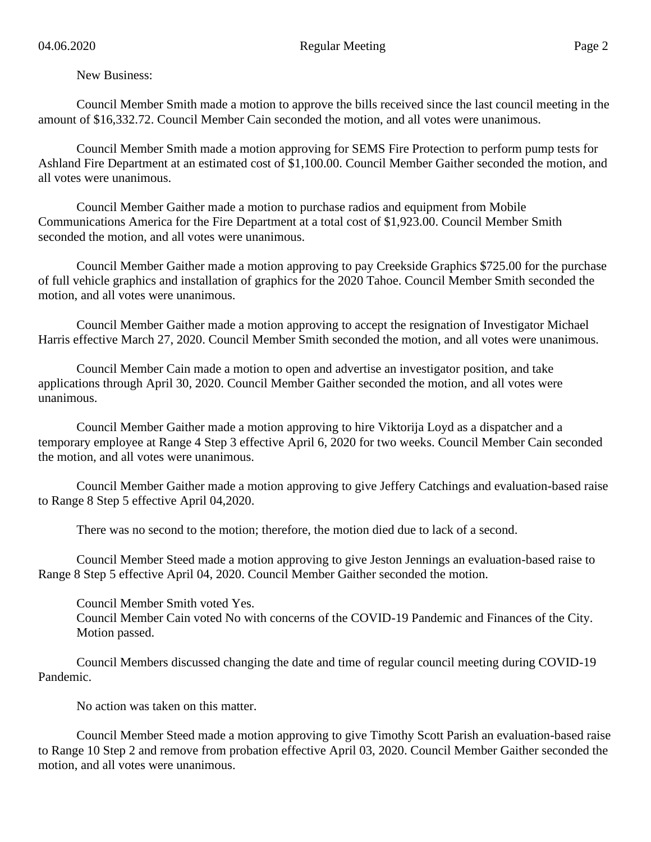## New Business:

Council Member Smith made a motion to approve the bills received since the last council meeting in the amount of \$16,332.72. Council Member Cain seconded the motion, and all votes were unanimous.

Council Member Smith made a motion approving for SEMS Fire Protection to perform pump tests for Ashland Fire Department at an estimated cost of \$1,100.00. Council Member Gaither seconded the motion, and all votes were unanimous.

Council Member Gaither made a motion to purchase radios and equipment from Mobile Communications America for the Fire Department at a total cost of \$1,923.00. Council Member Smith seconded the motion, and all votes were unanimous.

Council Member Gaither made a motion approving to pay Creekside Graphics \$725.00 for the purchase of full vehicle graphics and installation of graphics for the 2020 Tahoe. Council Member Smith seconded the motion, and all votes were unanimous.

Council Member Gaither made a motion approving to accept the resignation of Investigator Michael Harris effective March 27, 2020. Council Member Smith seconded the motion, and all votes were unanimous.

Council Member Cain made a motion to open and advertise an investigator position, and take applications through April 30, 2020. Council Member Gaither seconded the motion, and all votes were unanimous.

Council Member Gaither made a motion approving to hire Viktorija Loyd as a dispatcher and a temporary employee at Range 4 Step 3 effective April 6, 2020 for two weeks. Council Member Cain seconded the motion, and all votes were unanimous.

Council Member Gaither made a motion approving to give Jeffery Catchings and evaluation-based raise to Range 8 Step 5 effective April 04,2020.

There was no second to the motion; therefore, the motion died due to lack of a second.

Council Member Steed made a motion approving to give Jeston Jennings an evaluation-based raise to Range 8 Step 5 effective April 04, 2020. Council Member Gaither seconded the motion.

Council Member Smith voted Yes.

Council Member Cain voted No with concerns of the COVID-19 Pandemic and Finances of the City. Motion passed.

Council Members discussed changing the date and time of regular council meeting during COVID-19 Pandemic.

No action was taken on this matter.

Council Member Steed made a motion approving to give Timothy Scott Parish an evaluation-based raise to Range 10 Step 2 and remove from probation effective April 03, 2020. Council Member Gaither seconded the motion, and all votes were unanimous.